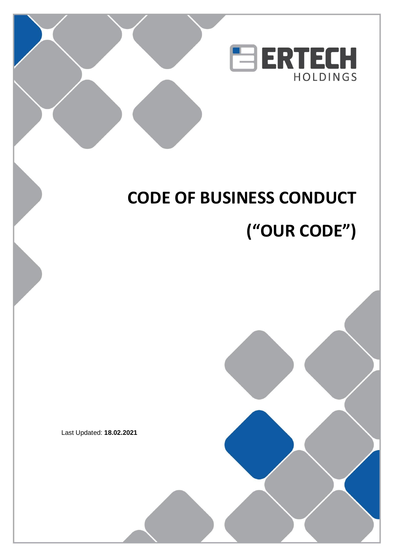

# **CODE OF BUSINESS CONDUCT ("OUR CODE")**

Last Updated: **18.02.2021**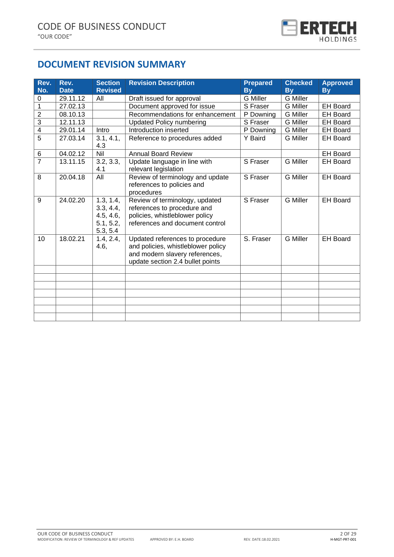

# **DOCUMENT REVISION SUMMARY**

| Rev.<br>No.    | Rev.<br><b>Date</b> | <b>Section</b><br><b>Revised</b>                             | <b>Revision Description</b>                                                                                                                 | <b>Prepared</b><br><b>Bv</b> | <b>Checked</b><br><b>By</b> | <b>Approved</b><br><b>By</b> |
|----------------|---------------------|--------------------------------------------------------------|---------------------------------------------------------------------------------------------------------------------------------------------|------------------------------|-----------------------------|------------------------------|
| $\pmb{0}$      | 29.11.12            | All                                                          | Draft issued for approval                                                                                                                   | <b>G</b> Miller              | <b>G</b> Miller             |                              |
| $\overline{1}$ | 27.02.13            |                                                              | Document approved for issue                                                                                                                 | S Fraser                     | <b>G</b> Miller             | <b>EH Board</b>              |
| $\mathbf 2$    | 08.10.13            |                                                              | Recommendations for enhancement                                                                                                             | P Downing                    | <b>G</b> Miller             | <b>EH Board</b>              |
| $\overline{3}$ | 12.11.13            |                                                              | <b>Updated Policy numbering</b>                                                                                                             | S Fraser                     | <b>G</b> Miller             | <b>EH Board</b>              |
| $\overline{4}$ | 29.01.14            | Intro                                                        | Introduction inserted                                                                                                                       | P Downing                    | <b>G</b> Miller             | <b>EH Board</b>              |
| $\overline{5}$ | 27.03.14            | 3.1, 4.1,<br>4.3                                             | Reference to procedures added                                                                                                               | Y Baird                      | <b>G</b> Miller             | <b>EH Board</b>              |
| $\,6$          | 04.02.12            | Nil                                                          | <b>Annual Board Review</b>                                                                                                                  |                              |                             | <b>EH Board</b>              |
| $\overline{7}$ | 13.11.15            | $3.2, \overline{3.3,}$<br>4.1                                | Update language in line with<br>relevant legislation                                                                                        | S Fraser                     | <b>G</b> Miller             | <b>EH Board</b>              |
| 8              | 20.04.18            | All                                                          | Review of terminology and update<br>references to policies and<br>procedures                                                                | S Fraser                     | <b>G</b> Miller             | <b>EH Board</b>              |
| 9              | 24.02.20            | 1.3, 1.4,<br>3.3, 4.4,<br>4.5, 4.6,<br>5.1, 5.2,<br>5.3, 5.4 | Review of terminology, updated<br>references to procedure and<br>policies, whistleblower policy<br>references and document control          | S Fraser                     | <b>G</b> Miller             | <b>EH Board</b>              |
| 10             | 18.02.21            | 1.4, 2.4,<br>4.6,                                            | Updated references to procedure<br>and policies, whistleblower policy<br>and modern slavery references,<br>update section 2.4 bullet points | S. Fraser                    | <b>G</b> Miller             | <b>EH Board</b>              |
|                |                     |                                                              |                                                                                                                                             |                              |                             |                              |
|                |                     |                                                              |                                                                                                                                             |                              |                             |                              |
|                |                     |                                                              |                                                                                                                                             |                              |                             |                              |
|                |                     |                                                              |                                                                                                                                             |                              |                             |                              |
|                |                     |                                                              |                                                                                                                                             |                              |                             |                              |
|                |                     |                                                              |                                                                                                                                             |                              |                             |                              |
|                |                     |                                                              |                                                                                                                                             |                              |                             |                              |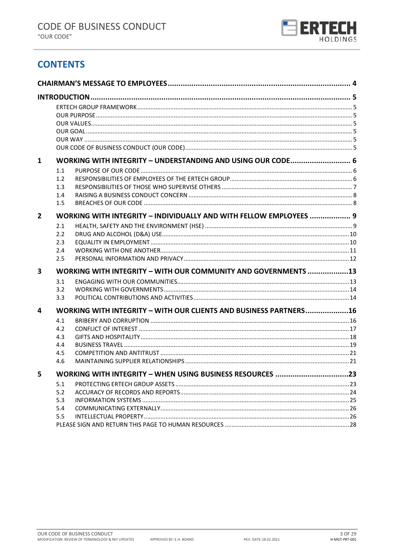

# **CONTENTS**

| 1              |                                                                    | WORKING WITH INTEGRITY - UNDERSTANDING AND USING OUR CODE 6    |  |  |  |  |
|----------------|--------------------------------------------------------------------|----------------------------------------------------------------|--|--|--|--|
|                | 1.1                                                                |                                                                |  |  |  |  |
|                | 1.2                                                                |                                                                |  |  |  |  |
|                | 1.3                                                                |                                                                |  |  |  |  |
|                | 1.4                                                                |                                                                |  |  |  |  |
|                | 1.5                                                                |                                                                |  |  |  |  |
| $\overline{2}$ | WORKING WITH INTEGRITY - INDIVIDUALLY AND WITH FELLOW EMPLOYEES  9 |                                                                |  |  |  |  |
|                | 2.1                                                                |                                                                |  |  |  |  |
|                | 2.2                                                                |                                                                |  |  |  |  |
|                | 2.3                                                                |                                                                |  |  |  |  |
|                | 2.4                                                                |                                                                |  |  |  |  |
|                | 2.5                                                                |                                                                |  |  |  |  |
| 3              | WORKING WITH INTEGRITY - WITH OUR COMMUNITY AND GOVERNMENTS 13     |                                                                |  |  |  |  |
|                | 3.1                                                                |                                                                |  |  |  |  |
|                | 3.2                                                                |                                                                |  |  |  |  |
|                | 3.3                                                                |                                                                |  |  |  |  |
| 4              | WORKING WITH INTEGRITY - WITH OUR CLIENTS AND BUSINESS PARTNERS16  |                                                                |  |  |  |  |
|                | 4.1                                                                |                                                                |  |  |  |  |
|                | 4.2                                                                |                                                                |  |  |  |  |
|                | 4.3                                                                |                                                                |  |  |  |  |
|                | 4.4                                                                |                                                                |  |  |  |  |
|                | 4.5                                                                |                                                                |  |  |  |  |
|                | 4.6                                                                |                                                                |  |  |  |  |
| 5.             |                                                                    | <b>WORKING WITH INTEGRITY - WHEN USING BUSINESS RESOURCES.</b> |  |  |  |  |
|                | 5.1                                                                |                                                                |  |  |  |  |
|                | 5.2                                                                |                                                                |  |  |  |  |
|                | 5.3                                                                |                                                                |  |  |  |  |
|                | 5.4                                                                |                                                                |  |  |  |  |
|                | 5.5                                                                |                                                                |  |  |  |  |
|                |                                                                    |                                                                |  |  |  |  |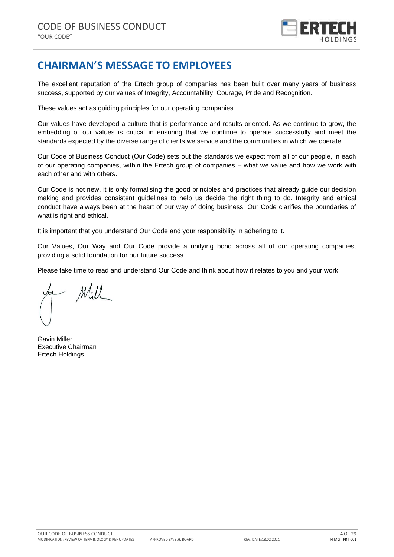

# <span id="page-3-0"></span>**CHAIRMAN'S MESSAGE TO EMPLOYEES**

The excellent reputation of the Ertech group of companies has been built over many years of business success, supported by our values of Integrity, Accountability, Courage, Pride and Recognition.

These values act as guiding principles for our operating companies.

Our values have developed a culture that is performance and results oriented. As we continue to grow, the embedding of our values is critical in ensuring that we continue to operate successfully and meet the standards expected by the diverse range of clients we service and the communities in which we operate.

Our Code of Business Conduct (Our Code) sets out the standards we expect from all of our people, in each of our operating companies, within the Ertech group of companies – what we value and how we work with each other and with others.

Our Code is not new, it is only formalising the good principles and practices that already guide our decision making and provides consistent guidelines to help us decide the right thing to do. Integrity and ethical conduct have always been at the heart of our way of doing business. Our Code clarifies the boundaries of what is right and ethical.

It is important that you understand Our Code and your responsibility in adhering to it.

Our Values, Our Way and Our Code provide a unifying bond across all of our operating companies, providing a solid foundation for our future success.

Please take time to read and understand Our Code and think about how it relates to you and your work.

Mill

Gavin Miller Executive Chairman Ertech Holdings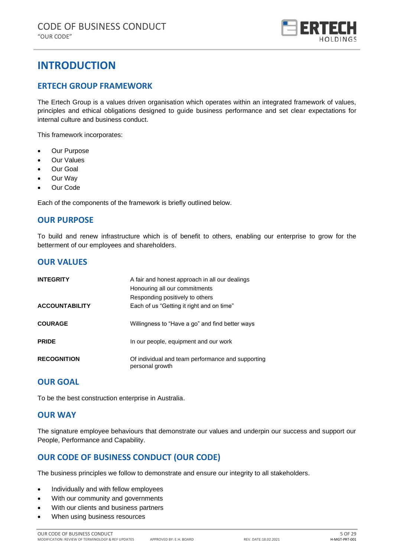

# <span id="page-4-0"></span>**INTRODUCTION**

# <span id="page-4-1"></span>**ERTECH GROUP FRAMEWORK**

The Ertech Group is a values driven organisation which operates within an integrated framework of values, principles and ethical obligations designed to guide business performance and set clear expectations for internal culture and business conduct.

This framework incorporates:

- Our Purpose
- Our Values
- Our Goal
- Our Way
- Our Code

Each of the components of the framework is briefly outlined below.

# <span id="page-4-2"></span>**OUR PURPOSE**

To build and renew infrastructure which is of benefit to others, enabling our enterprise to grow for the betterment of our employees and shareholders.

# <span id="page-4-3"></span>**OUR VALUES**

| <b>INTEGRITY</b>      | A fair and honest approach in all our dealings<br>Honouring all our commitments<br>Responding positively to others |
|-----------------------|--------------------------------------------------------------------------------------------------------------------|
| <b>ACCOUNTABILITY</b> | Each of us "Getting it right and on time"                                                                          |
| <b>COURAGE</b>        | Willingness to "Have a go" and find better ways                                                                    |
| <b>PRIDE</b>          | In our people, equipment and our work                                                                              |
| <b>RECOGNITION</b>    | Of individual and team performance and supporting<br>personal growth                                               |

# <span id="page-4-4"></span>**OUR GOAL**

To be the best construction enterprise in Australia.

### <span id="page-4-5"></span>**OUR WAY**

The signature employee behaviours that demonstrate our values and underpin our success and support our People, Performance and Capability.

# <span id="page-4-6"></span>**OUR CODE OF BUSINESS CONDUCT (OUR CODE)**

The business principles we follow to demonstrate and ensure our integrity to all stakeholders.

- Individually and with fellow employees
- With our community and governments
- With our clients and business partners
- When using business resources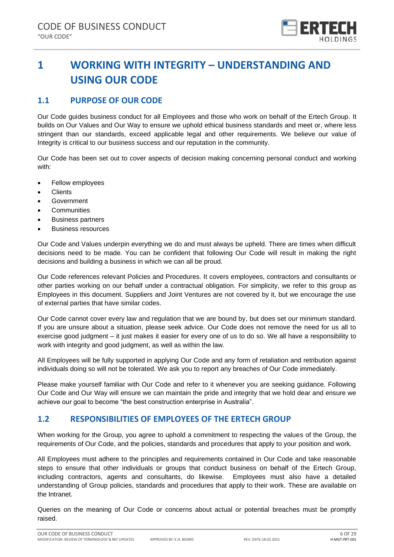

# <span id="page-5-0"></span>**1 WORKING WITH INTEGRITY – UNDERSTANDING AND USING OUR CODE**

# <span id="page-5-1"></span>**1.1 PURPOSE OF OUR CODE**

Our Code guides business conduct for all Employees and those who work on behalf of the Ertech Group. It builds on Our Values and Our Way to ensure we uphold ethical business standards and meet or, where less stringent than our standards, exceed applicable legal and other requirements. We believe our value of Integrity is critical to our business success and our reputation in the community.

Our Code has been set out to cover aspects of decision making concerning personal conduct and working with:

- Fellow employees
- Clients
- Government
- **Communities**
- Business partners
- Business resources

Our Code and Values underpin everything we do and must always be upheld. There are times when difficult decisions need to be made. You can be confident that following Our Code will result in making the right decisions and building a business in which we can all be proud.

Our Code references relevant Policies and Procedures. It covers employees, contractors and consultants or other parties working on our behalf under a contractual obligation. For simplicity, we refer to this group as Employees in this document. Suppliers and Joint Ventures are not covered by it, but we encourage the use of external parties that have similar codes.

Our Code cannot cover every law and regulation that we are bound by, but does set our minimum standard. If you are unsure about a situation, please seek advice. Our Code does not remove the need for us all to exercise good judgment – it just makes it easier for every one of us to do so. We all have a responsibility to work with integrity and good judgment, as well as within the law.

All Employees will be fully supported in applying Our Code and any form of retaliation and retribution against individuals doing so will not be tolerated. We ask you to report any breaches of Our Code immediately.

Please make yourself familiar with Our Code and refer to it whenever you are seeking guidance. Following Our Code and Our Way will ensure we can maintain the pride and integrity that we hold dear and ensure we achieve our goal to become "the best construction enterprise in Australia".

# <span id="page-5-2"></span>**1.2 RESPONSIBILITIES OF EMPLOYEES OF THE ERTECH GROUP**

When working for the Group, you agree to uphold a commitment to respecting the values of the Group, the requirements of Our Code, and the policies, standards and procedures that apply to your position and work.

All Employees must adhere to the principles and requirements contained in Our Code and take reasonable steps to ensure that other individuals or groups that conduct business on behalf of the Ertech Group, including contractors, agents and consultants, do likewise. Employees must also have a detailed understanding of Group policies, standards and procedures that apply to their work. These are available on the Intranet.

Queries on the meaning of Our Code or concerns about actual or potential breaches must be promptly raised.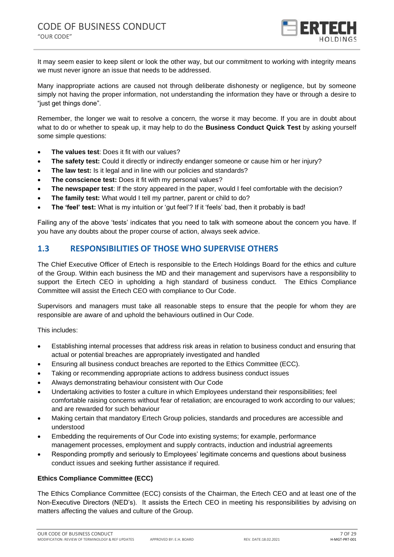

It may seem easier to keep silent or look the other way, but our commitment to working with integrity means we must never ignore an issue that needs to be addressed.

Many inappropriate actions are caused not through deliberate dishonesty or negligence, but by someone simply not having the proper information, not understanding the information they have or through a desire to "just get things done".

Remember, the longer we wait to resolve a concern, the worse it may become. If you are in doubt about what to do or whether to speak up, it may help to do the **Business Conduct Quick Test** by asking yourself some simple questions:

- **The values test: Does it fit with our values?**
- **The safety test:** Could it directly or indirectly endanger someone or cause him or her injury?
- **The law test:** Is it legal and in line with our policies and standards?
- **The conscience test:** Does it fit with my personal values?
- **The newspaper test**: If the story appeared in the paper, would I feel comfortable with the decision?
- **The family test:** What would I tell my partner, parent or child to do?
- **The 'feel' test:** What is my intuition or 'gut feel'? If it 'feels' bad, then it probably is bad!

Failing any of the above 'tests' indicates that you need to talk with someone about the concern you have. If you have any doubts about the proper course of action, always seek advice.

# <span id="page-6-0"></span>**1.3 RESPONSIBILITIES OF THOSE WHO SUPERVISE OTHERS**

The Chief Executive Officer of Ertech is responsible to the Ertech Holdings Board for the ethics and culture of the Group. Within each business the MD and their management and supervisors have a responsibility to support the Ertech CEO in upholding a high standard of business conduct. The Ethics Compliance Committee will assist the Ertech CEO with compliance to Our Code.

Supervisors and managers must take all reasonable steps to ensure that the people for whom they are responsible are aware of and uphold the behaviours outlined in Our Code.

This includes:

- Establishing internal processes that address risk areas in relation to business conduct and ensuring that actual or potential breaches are appropriately investigated and handled
- Ensuring all business conduct breaches are reported to the Ethics Committee (ECC).
- Taking or recommending appropriate actions to address business conduct issues
- Always demonstrating behaviour consistent with Our Code
- Undertaking activities to foster a culture in which Employees understand their responsibilities; feel comfortable raising concerns without fear of retaliation; are encouraged to work according to our values; and are rewarded for such behaviour
- Making certain that mandatory Ertech Group policies, standards and procedures are accessible and understood
- Embedding the requirements of Our Code into existing systems; for example, performance management processes, employment and supply contracts, induction and industrial agreements
- Responding promptly and seriously to Employees' legitimate concerns and questions about business conduct issues and seeking further assistance if required.

### **Ethics Compliance Committee (ECC)**

The Ethics Compliance Committee (ECC) consists of the Chairman, the Ertech CEO and at least one of the Non-Executive Directors (NED's). It assists the Ertech CEO in meeting his responsibilities by advising on matters affecting the values and culture of the Group.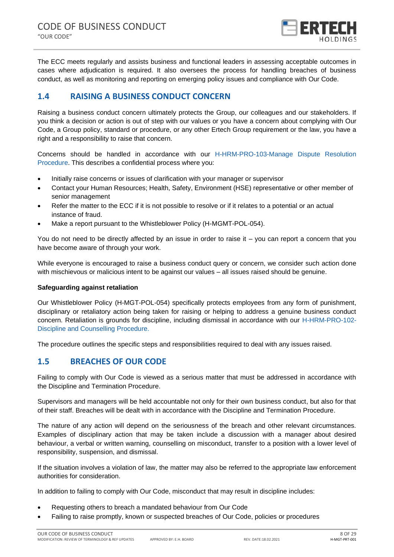

The ECC meets regularly and assists business and functional leaders in assessing acceptable outcomes in cases where adjudication is required. It also oversees the process for handling breaches of business conduct, as well as monitoring and reporting on emerging policy issues and compliance with Our Code.

# <span id="page-7-0"></span>**1.4 RAISING A BUSINESS CONDUCT CONCERN**

Raising a business conduct concern ultimately protects the Group, our colleagues and our stakeholders. If you think a decision or action is out of step with our values or you have a concern about complying with Our Code, a Group policy, standard or procedure, or any other Ertech Group requirement or the law, you have a right and a responsibility to raise that concern.

Concerns should be handled in accordance with our H-HRM-PRO-103-Manage Dispute Resolution Procedure. This describes a confidential process where you:

- Initially raise concerns or issues of clarification with your manager or supervisor
- Contact your Human Resources; Health, Safety, Environment (HSE) representative or other member of senior management
- Refer the matter to the ECC if it is not possible to resolve or if it relates to a potential or an actual instance of fraud.
- Make a report pursuant to the Whistleblower Policy (H-MGMT-POL-054).

You do not need to be directly affected by an issue in order to raise it – you can report a concern that you have become aware of through your work.

While everyone is encouraged to raise a business conduct query or concern, we consider such action done with mischievous or malicious intent to be against our values – all issues raised should be genuine.

### **Safeguarding against retaliation**

Our Whistleblower Policy (H-MGT-POL-054) specifically protects employees from any form of punishment, disciplinary or retaliatory action being taken for raising or helping to address a genuine business conduct concern. Retaliation is grounds for discipline, including dismissal in accordance with our H-HRM-PRO-102- Discipline and Counselling Procedure.

The procedure outlines the specific steps and responsibilities required to deal with any issues raised.

# <span id="page-7-1"></span>**1.5 BREACHES OF OUR CODE**

Failing to comply with Our Code is viewed as a serious matter that must be addressed in accordance with the Discipline and Termination Procedure.

Supervisors and managers will be held accountable not only for their own business conduct, but also for that of their staff. Breaches will be dealt with in accordance with the Discipline and Termination Procedure.

The nature of any action will depend on the seriousness of the breach and other relevant circumstances. Examples of disciplinary action that may be taken include a discussion with a manager about desired behaviour, a verbal or written warning, counselling on misconduct, transfer to a position with a lower level of responsibility, suspension, and dismissal.

If the situation involves a violation of law, the matter may also be referred to the appropriate law enforcement authorities for consideration.

In addition to failing to comply with Our Code, misconduct that may result in discipline includes:

- Requesting others to breach a mandated behaviour from Our Code
- Failing to raise promptly, known or suspected breaches of Our Code, policies or procedures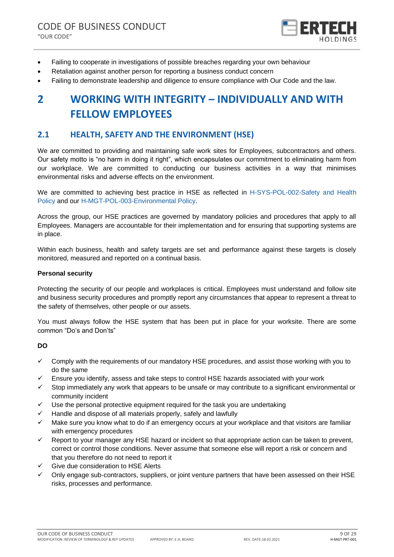

- Failing to cooperate in investigations of possible breaches regarding your own behaviour
- Retaliation against another person for reporting a business conduct concern
- Failing to demonstrate leadership and diligence to ensure compliance with Our Code and the law.

# <span id="page-8-0"></span>**2 WORKING WITH INTEGRITY – INDIVIDUALLY AND WITH FELLOW EMPLOYEES**

# <span id="page-8-1"></span>**2.1 HEALTH, SAFETY AND THE ENVIRONMENT (HSE)**

We are committed to providing and maintaining safe work sites for Employees, subcontractors and others. Our safety motto is "no harm in doing it right", which encapsulates our commitment to eliminating harm from our workplace. We are committed to conducting our business activities in a way that minimises environmental risks and adverse effects on the environment.

We are committed to achieving best practice in HSE as reflected in H-SYS-POL-002-Safety and Health Policy and our H-MGT-POL-003-Environmental Policy.

Across the group, our HSE practices are governed by mandatory policies and procedures that apply to all Employees. Managers are accountable for their implementation and for ensuring that supporting systems are in place.

Within each business, health and safety targets are set and performance against these targets is closely monitored, measured and reported on a continual basis.

### **Personal security**

Protecting the security of our people and workplaces is critical. Employees must understand and follow site and business security procedures and promptly report any circumstances that appear to represent a threat to the safety of themselves, other people or our assets.

You must always follow the HSE system that has been put in place for your worksite. There are some common "Do's and Don'ts"

### **DO**

- ✓ Comply with the requirements of our mandatory HSE procedures, and assist those working with you to do the same
- $\checkmark$  Ensure you identify, assess and take steps to control HSE hazards associated with your work
- $\checkmark$  Stop immediately any work that appears to be unsafe or may contribute to a significant environmental or community incident
- $\checkmark$  Use the personal protective equipment required for the task you are undertaking
- $\checkmark$  Handle and dispose of all materials properly, safely and lawfully
- Make sure you know what to do if an emergency occurs at your workplace and that visitors are familiar with emergency procedures
- $\checkmark$  Report to your manager any HSE hazard or incident so that appropriate action can be taken to prevent, correct or control those conditions. Never assume that someone else will report a risk or concern and that you therefore do not need to report it
- Give due consideration to HSE Alerts
- Only engage sub-contractors, suppliers, or joint venture partners that have been assessed on their HSE risks, processes and performance.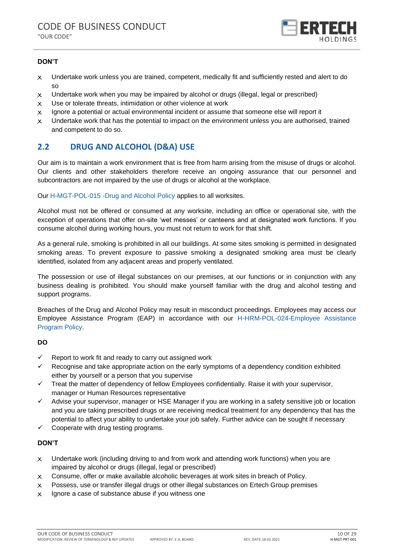

### **DON'T**

- X Undertake work unless you are trained, competent, medically fit and sufficiently rested and alert to do so
- $\times$  Undertake work when you may be impaired by alcohol or drugs (illegal, legal or prescribed)
- $x$  Use or tolerate threats, intimidation or other violence at work
- $x$  Ignore a potential or actual environmental incident or assume that someone else will report it
- $x$  Undertake work that has the potential to impact on the environment unless you are authorised, trained and competent to do so.

# <span id="page-9-0"></span>**2.2 DRUG AND ALCOHOL (D&A) USE**

Our aim is to maintain a work environment that is free from harm arising from the misuse of drugs or alcohol. Our clients and other stakeholders therefore receive an ongoing assurance that our personnel and subcontractors are not impaired by the use of drugs or alcohol at the workplace.

Our H-MGT-POL-015 -Drug and Alcohol Policy applies to all worksites.

Alcohol must not be offered or consumed at any worksite, including an office or operational site, with the exception of operations that offer on-site 'wet messes' or canteens and at designated work functions. If you consume alcohol during working hours, you must not return to work for that shift.

As a general rule, smoking is prohibited in all our buildings. At some sites smoking is permitted in designated smoking areas. To prevent exposure to passive smoking a designated smoking area must be clearly identified, isolated from any adjacent areas and properly ventilated.

The possession or use of illegal substances on our premises, at our functions or in conjunction with any business dealing is prohibited. You should make yourself familiar with the drug and alcohol testing and support programs.

Breaches of the Drug and Alcohol Policy may result in misconduct proceedings. Employees may access our Employee Assistance Program (EAP) in accordance with our H-HRM-POL-024-Employee Assistance Program Policy.

### **DO**

- $\checkmark$  Report to work fit and ready to carry out assigned work
- $\checkmark$  Recognise and take appropriate action on the early symptoms of a dependency condition exhibited either by yourself or a person that you supervise
- ✓ Treat the matter of dependency of fellow Employees confidentially. Raise it with your supervisor, manager or Human Resources representative
- $\checkmark$  Advise your supervisor, manager or HSE Manager if you are working in a safety sensitive job or location and you are taking prescribed drugs or are receiving medical treatment for any dependency that has the potential to affect your ability to undertake your job safely. Further advice can be sought if necessary
- $\checkmark$  Cooperate with drug testing programs.

- $\times$  Undertake work (including driving to and from work and attending work functions) when you are impaired by alcohol or drugs (illegal, legal or prescribed)
- $\times$  Consume, offer or make available alcoholic beverages at work sites in breach of Policy.
- $x$  Possess, use or transfer illegal drugs or other illegal substances on Ertech Group premises
- $x$  Ignore a case of substance abuse if you witness one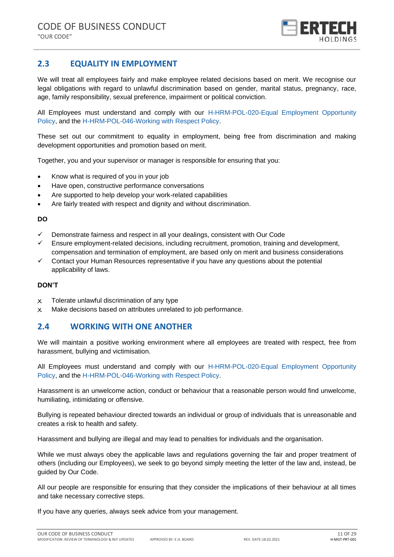

# <span id="page-10-0"></span>**2.3 EQUALITY IN EMPLOYMENT**

We will treat all employees fairly and make employee related decisions based on merit. We recognise our legal obligations with regard to unlawful discrimination based on gender, marital status, pregnancy, race, age, family responsibility, sexual preference, impairment or political conviction.

All Employees must understand and comply with our H-HRM-POL-020-Equal Employment Opportunity Policy, and the H-HRM-POL-046-Working with Respect Policy.

These set out our commitment to equality in employment, being free from discrimination and making development opportunities and promotion based on merit.

Together, you and your supervisor or manager is responsible for ensuring that you:

- Know what is required of you in your job
- Have open, constructive performance conversations
- Are supported to help develop your work-related capabilities
- Are fairly treated with respect and dignity and without discrimination.

#### **DO**

- ✓ Demonstrate fairness and respect in all your dealings, consistent with Our Code
- Ensure employment-related decisions, including recruitment, promotion, training and development, compensation and termination of employment, are based only on merit and business considerations
- $\checkmark$  Contact your Human Resources representative if you have any questions about the potential applicability of laws.

### **DON'T**

- $x$  Tolerate unlawful discrimination of any type
- X Make decisions based on attributes unrelated to job performance.

### <span id="page-10-1"></span>**2.4 WORKING WITH ONE ANOTHER**

We will maintain a positive working environment where all employees are treated with respect, free from harassment, bullying and victimisation.

All Employees must understand and comply with our H-HRM-POL-020-Equal Employment Opportunity Policy, and the H-HRM-POL-046-Working with Respect Policy.

Harassment is an unwelcome action, conduct or behaviour that a reasonable person would find unwelcome, humiliating, intimidating or offensive.

Bullying is repeated behaviour directed towards an individual or group of individuals that is unreasonable and creates a risk to health and safety.

Harassment and bullying are illegal and may lead to penalties for individuals and the organisation.

While we must always obey the applicable laws and regulations governing the fair and proper treatment of others (including our Employees), we seek to go beyond simply meeting the letter of the law and, instead, be guided by Our Code.

All our people are responsible for ensuring that they consider the implications of their behaviour at all times and take necessary corrective steps.

If you have any queries, always seek advice from your management.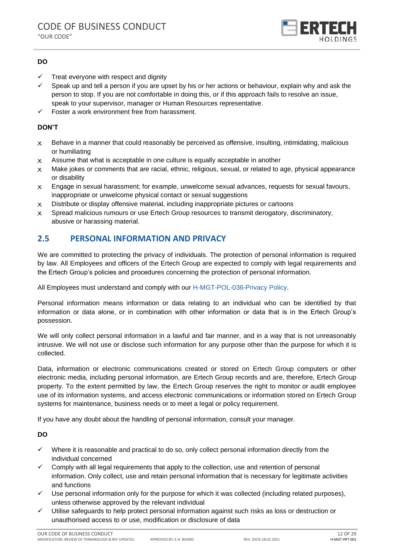

### **DO**

- $\checkmark$  Treat everyone with respect and dignity
- $\checkmark$  Speak up and tell a person if you are upset by his or her actions or behaviour, explain why and ask the person to stop. If you are not comfortable in doing this, or if this approach fails to resolve an issue, speak to your supervisor, manager or Human Resources representative.
- ✓ Foster a work environment free from harassment.

### **DON'T**

- $\times$  Behave in a manner that could reasonably be perceived as offensive, insulting, intimidating, malicious or humiliating
- $x$  Assume that what is acceptable in one culture is equally acceptable in another
- $\times$  Make jokes or comments that are racial, ethnic, religious, sexual, or related to age, physical appearance or disability
- $\times$  Engage in sexual harassment; for example, unwelcome sexual advances, requests for sexual favours, inappropriate or unwelcome physical contact or sexual suggestions
- $\times$  Distribute or display offensive material, including inappropriate pictures or cartoons
- $\times$  Spread malicious rumours or use Ertech Group resources to transmit derogatory, discriminatory, abusive or harassing material.

# <span id="page-11-0"></span>**2.5 PERSONAL INFORMATION AND PRIVACY**

We are committed to protecting the privacy of individuals. The protection of personal information is required by law. All Employees and officers of the Ertech Group are expected to comply with legal requirements and the Ertech Group's policies and procedures concerning the protection of personal information.

All Employees must understand and comply with our H-MGT-POL-036-Privacy Policy.

Personal information means information or data relating to an individual who can be identified by that information or data alone, or in combination with other information or data that is in the Ertech Group's possession.

We will only collect personal information in a lawful and fair manner, and in a way that is not unreasonably intrusive. We will not use or disclose such information for any purpose other than the purpose for which it is collected.

Data, information or electronic communications created or stored on Ertech Group computers or other electronic media, including personal information, are Ertech Group records and are, therefore, Ertech Group property. To the extent permitted by law, the Ertech Group reserves the right to monitor or audit employee use of its information systems, and access electronic communications or information stored on Ertech Group systems for maintenance, business needs or to meet a legal or policy requirement.

If you have any doubt about the handling of personal information, consult your manager.

### **DO**

- $\checkmark$  Where it is reasonable and practical to do so, only collect personal information directly from the individual concerned
- $\checkmark$  Comply with all legal requirements that apply to the collection, use and retention of personal information. Only collect, use and retain personal information that is necessary for legitimate activities and functions
- $\checkmark$  Use personal information only for the purpose for which it was collected (including related purposes), unless otherwise approved by the relevant individual
- ✓ Utilise safeguards to help protect personal information against such risks as loss or destruction or unauthorised access to or use, modification or disclosure of data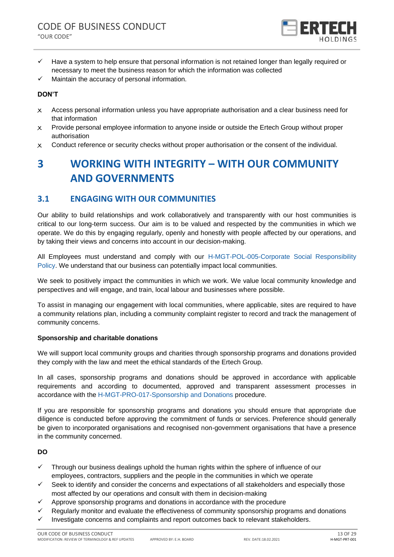

- ✓ Have a system to help ensure that personal information is not retained longer than legally required or necessary to meet the business reason for which the information was collected
- ✓ Maintain the accuracy of personal information.

### **DON'T**

- X Access personal information unless you have appropriate authorisation and a clear business need for that information
- X Provide personal employee information to anyone inside or outside the Ertech Group without proper authorisation
- X Conduct reference or security checks without proper authorisation or the consent of the individual.

# <span id="page-12-0"></span>**3 WORKING WITH INTEGRITY – WITH OUR COMMUNITY AND GOVERNMENTS**

### <span id="page-12-1"></span>**3.1 ENGAGING WITH OUR COMMUNITIES**

Our ability to build relationships and work collaboratively and transparently with our host communities is critical to our long-term success. Our aim is to be valued and respected by the communities in which we operate. We do this by engaging regularly, openly and honestly with people affected by our operations, and by taking their views and concerns into account in our decision-making.

All Employees must understand and comply with our H-MGT-POL-005-Corporate Social Responsibility Policy. We understand that our business can potentially impact local communities.

We seek to positively impact the communities in which we work. We value local community knowledge and perspectives and will engage, and train, local labour and businesses where possible.

To assist in managing our engagement with local communities, where applicable, sites are required to have a community relations plan, including a community complaint register to record and track the management of community concerns.

### **Sponsorship and charitable donations**

We will support local community groups and charities through sponsorship programs and donations provided they comply with the law and meet the ethical standards of the Ertech Group.

In all cases, sponsorship programs and donations should be approved in accordance with applicable requirements and according to documented, approved and transparent assessment processes in accordance with the H-MGT-PRO-017-Sponsorship and Donations procedure.

If you are responsible for sponsorship programs and donations you should ensure that appropriate due diligence is conducted before approving the commitment of funds or services. Preference should generally be given to incorporated organisations and recognised non-government organisations that have a presence in the community concerned.

### **DO**

- $\checkmark$  Through our business dealings uphold the human rights within the sphere of influence of our employees, contractors, suppliers and the people in the communities in which we operate
- $\checkmark$  Seek to identify and consider the concerns and expectations of all stakeholders and especially those most affected by our operations and consult with them in decision-making
- $\checkmark$  Approve sponsorship programs and donations in accordance with the procedure
- Regularly monitor and evaluate the effectiveness of community sponsorship programs and donations
- Investigate concerns and complaints and report outcomes back to relevant stakeholders.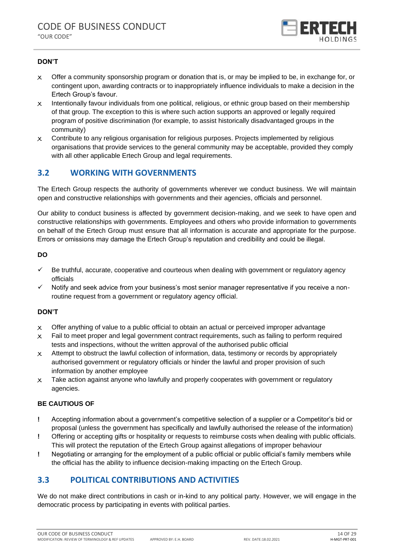

### **DON'T**

- $\times$  Offer a community sponsorship program or donation that is, or may be implied to be, in exchange for, or contingent upon, awarding contracts or to inappropriately influence individuals to make a decision in the Ertech Group's favour.
- X Intentionally favour individuals from one political, religious, or ethnic group based on their membership of that group. The exception to this is where such action supports an approved or legally required program of positive discrimination (for example, to assist historically disadvantaged groups in the community)
- $\times$  Contribute to any religious organisation for religious purposes. Projects implemented by religious organisations that provide services to the general community may be acceptable, provided they comply with all other applicable Ertech Group and legal requirements.

# <span id="page-13-0"></span>**3.2 WORKING WITH GOVERNMENTS**

The Ertech Group respects the authority of governments wherever we conduct business. We will maintain open and constructive relationships with governments and their agencies, officials and personnel.

Our ability to conduct business is affected by government decision-making, and we seek to have open and constructive relationships with governments. Employees and others who provide information to governments on behalf of the Ertech Group must ensure that all information is accurate and appropriate for the purpose. Errors or omissions may damage the Ertech Group's reputation and credibility and could be illegal.

### **DO**

- ✓ Be truthful, accurate, cooperative and courteous when dealing with government or regulatory agency officials
- $\checkmark$  Notify and seek advice from your business's most senior manager representative if you receive a nonroutine request from a government or regulatory agency official.

### **DON'T**

- $\times$  Offer anything of value to a public official to obtain an actual or perceived improper advantage
- $\times$  Fail to meet proper and legal government contract requirements, such as failing to perform required tests and inspections, without the written approval of the authorised public official
- $\times$  Attempt to obstruct the lawful collection of information, data, testimony or records by appropriately authorised government or regulatory officials or hinder the lawful and proper provision of such information by another employee
- $x$  Take action against anyone who lawfully and properly cooperates with government or regulatory agencies.

### **BE CAUTIOUS OF**

- **!** Accepting information about a government's competitive selection of a supplier or a Competitor's bid or proposal (unless the government has specifically and lawfully authorised the release of the information)
- **!** Offering or accepting gifts or hospitality or requests to reimburse costs when dealing with public officials. This will protect the reputation of the Ertech Group against allegations of improper behaviour
- **!** Negotiating or arranging for the employment of a public official or public official's family members while the official has the ability to influence decision-making impacting on the Ertech Group.

### <span id="page-13-1"></span>**3.3 POLITICAL CONTRIBUTIONS AND ACTIVITIES**

We do not make direct contributions in cash or in-kind to any political party. However, we will engage in the democratic process by participating in events with political parties.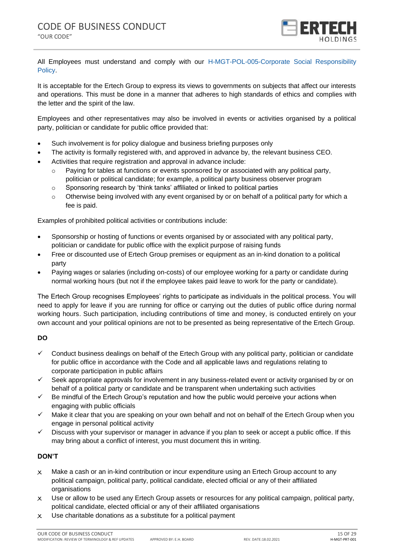

All Employees must understand and comply with our H-MGT-POL-005-Corporate Social Responsibility Policy.

It is acceptable for the Ertech Group to express its views to governments on subjects that affect our interests and operations. This must be done in a manner that adheres to high standards of ethics and complies with the letter and the spirit of the law.

Employees and other representatives may also be involved in events or activities organised by a political party, politician or candidate for public office provided that:

- Such involvement is for policy dialogue and business briefing purposes only
- The activity is formally registered with, and approved in advance by, the relevant business CEO.
- Activities that require registration and approval in advance include:
	- Paying for tables at functions or events sponsored by or associated with any political party, politician or political candidate; for example, a political party business observer program
	- $\circ$  Sponsoring research by 'think tanks' affiliated or linked to political parties
	- $\circ$  Otherwise being involved with any event organised by or on behalf of a political party for which a fee is paid.

Examples of prohibited political activities or contributions include:

- Sponsorship or hosting of functions or events organised by or associated with any political party, politician or candidate for public office with the explicit purpose of raising funds
- Free or discounted use of Ertech Group premises or equipment as an in-kind donation to a political party
- Paying wages or salaries (including on-costs) of our employee working for a party or candidate during normal working hours (but not if the employee takes paid leave to work for the party or candidate).

The Ertech Group recognises Employees' rights to participate as individuals in the political process. You will need to apply for leave if you are running for office or carrying out the duties of public office during normal working hours. Such participation, including contributions of time and money, is conducted entirely on your own account and your political opinions are not to be presented as being representative of the Ertech Group.

### **DO**

- ✓ Conduct business dealings on behalf of the Ertech Group with any political party, politician or candidate for public office in accordance with the Code and all applicable laws and regulations relating to corporate participation in public affairs
- ✓ Seek appropriate approvals for involvement in any business-related event or activity organised by or on behalf of a political party or candidate and be transparent when undertaking such activities
- $\checkmark$  Be mindful of the Ertech Group's reputation and how the public would perceive your actions when engaging with public officials
- $\checkmark$  Make it clear that you are speaking on your own behalf and not on behalf of the Ertech Group when you engage in personal political activity
- ✓ Discuss with your supervisor or manager in advance if you plan to seek or accept a public office. If this may bring about a conflict of interest, you must document this in writing.

- $\times$  Make a cash or an in-kind contribution or incur expenditure using an Ertech Group account to any political campaign, political party, political candidate, elected official or any of their affiliated organisations
- X Use or allow to be used any Ertech Group assets or resources for any political campaign, political party, political candidate, elected official or any of their affiliated organisations
- $x$  Use charitable donations as a substitute for a political payment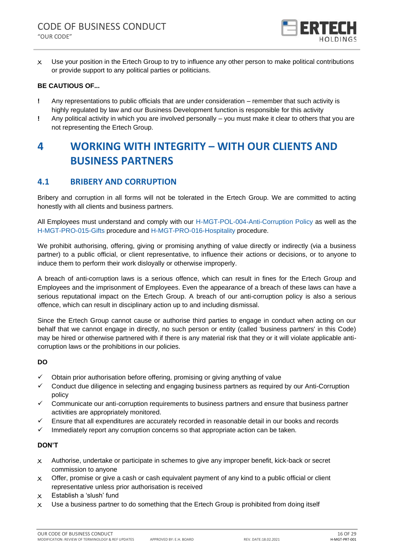

 $x$  Use your position in the Ertech Group to try to influence any other person to make political contributions or provide support to any political parties or politicians.

### **BE CAUTIOUS OF...**

- **!** Any representations to public officials that are under consideration remember that such activity is highly regulated by law and our Business Development function is responsible for this activity
- **!** Any political activity in which you are involved personally you must make it clear to others that you are not representing the Ertech Group.

# <span id="page-15-0"></span>**4 WORKING WITH INTEGRITY – WITH OUR CLIENTS AND BUSINESS PARTNERS**

# <span id="page-15-1"></span>**4.1 BRIBERY AND CORRUPTION**

Bribery and corruption in all forms will not be tolerated in the Ertech Group. We are committed to acting honestly with all clients and business partners.

All Employees must understand and comply with our H-MGT-POL-004-Anti-Corruption Policy as well as the H-MGT-PRO-015-Gifts procedure and H-MGT-PRO-016-Hospitality procedure.

We prohibit authorising, offering, giving or promising anything of value directly or indirectly (via a business partner) to a public official, or client representative, to influence their actions or decisions, or to anyone to induce them to perform their work disloyally or otherwise improperly.

A breach of anti-corruption laws is a serious offence, which can result in fines for the Ertech Group and Employees and the imprisonment of Employees. Even the appearance of a breach of these laws can have a serious reputational impact on the Ertech Group. A breach of our anti-corruption policy is also a serious offence, which can result in disciplinary action up to and including dismissal.

Since the Ertech Group cannot cause or authorise third parties to engage in conduct when acting on our behalf that we cannot engage in directly, no such person or entity (called 'business partners' in this Code) may be hired or otherwise partnered with if there is any material risk that they or it will violate applicable anticorruption laws or the prohibitions in our policies.

### **DO**

- ✓ Obtain prior authorisation before offering, promising or giving anything of value
- ✓ Conduct due diligence in selecting and engaging business partners as required by our Anti-Corruption policy
- $\checkmark$  Communicate our anti-corruption requirements to business partners and ensure that business partner activities are appropriately monitored.
- ✓ Ensure that all expenditures are accurately recorded in reasonable detail in our books and records
- $\checkmark$  Immediately report any corruption concerns so that appropriate action can be taken.

- X Authorise, undertake or participate in schemes to give any improper benefit, kick-back or secret commission to anyone
- $\times$  Offer, promise or give a cash or cash equivalent payment of any kind to a public official or client representative unless prior authorisation is received
- X Establish a 'slush' fund
- $\times$  Use a business partner to do something that the Ertech Group is prohibited from doing itself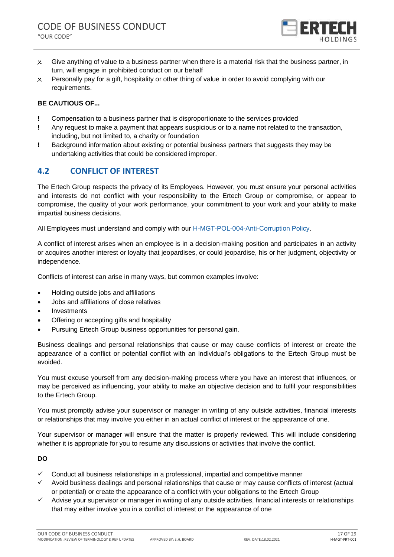

- $x$  Give anything of value to a business partner when there is a material risk that the business partner, in turn, will engage in prohibited conduct on our behalf
- $\times$  Personally pay for a gift, hospitality or other thing of value in order to avoid complying with our requirements.

### **BE CAUTIOUS OF...**

- **!** Compensation to a business partner that is disproportionate to the services provided
- **!** Any request to make a payment that appears suspicious or to a name not related to the transaction, including, but not limited to, a charity or foundation
- **!** Background information about existing or potential business partners that suggests they may be undertaking activities that could be considered improper.

# <span id="page-16-0"></span>**4.2 CONFLICT OF INTEREST**

The Ertech Group respects the privacy of its Employees. However, you must ensure your personal activities and interests do not conflict with your responsibility to the Ertech Group or compromise, or appear to compromise, the quality of your work performance, your commitment to your work and your ability to make impartial business decisions.

All Employees must understand and comply with our H-MGT-POL-004-Anti-Corruption Policy.

A conflict of interest arises when an employee is in a decision-making position and participates in an activity or acquires another interest or loyalty that jeopardises, or could jeopardise, his or her judgment, objectivity or independence.

Conflicts of interest can arise in many ways, but common examples involve:

- Holding outside jobs and affiliations
- Jobs and affiliations of close relatives
- **Investments**
- Offering or accepting gifts and hospitality
- Pursuing Ertech Group business opportunities for personal gain.

Business dealings and personal relationships that cause or may cause conflicts of interest or create the appearance of a conflict or potential conflict with an individual's obligations to the Ertech Group must be avoided.

You must excuse yourself from any decision-making process where you have an interest that influences, or may be perceived as influencing, your ability to make an objective decision and to fulfil your responsibilities to the Ertech Group.

You must promptly advise your supervisor or manager in writing of any outside activities, financial interests or relationships that may involve you either in an actual conflict of interest or the appearance of one.

Your supervisor or manager will ensure that the matter is properly reviewed. This will include considering whether it is appropriate for you to resume any discussions or activities that involve the conflict.

**DO**

- $\checkmark$  Conduct all business relationships in a professional, impartial and competitive manner
- Avoid business dealings and personal relationships that cause or may cause conflicts of interest (actual or potential) or create the appearance of a conflict with your obligations to the Ertech Group
- ✓ Advise your supervisor or manager in writing of any outside activities, financial interests or relationships that may either involve you in a conflict of interest or the appearance of one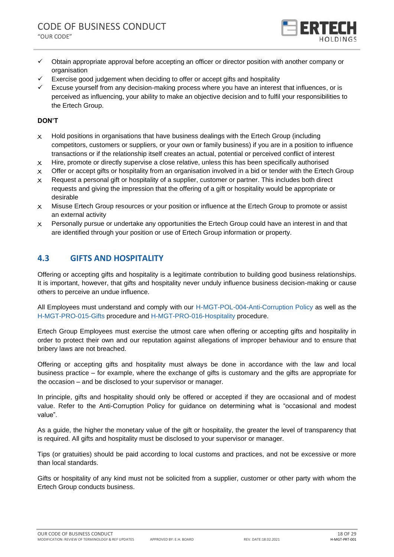

- ✓ Obtain appropriate approval before accepting an officer or director position with another company or organisation
- $\checkmark$  Exercise good judgement when deciding to offer or accept gifts and hospitality
- Excuse yourself from any decision-making process where you have an interest that influences, or is perceived as influencing, your ability to make an objective decision and to fulfil your responsibilities to the Ertech Group.

### **DON'T**

- $\times$  Hold positions in organisations that have business dealings with the Ertech Group (including competitors, customers or suppliers, or your own or family business) if you are in a position to influence transactions or if the relationship itself creates an actual, potential or perceived conflict of interest
- $x$  Hire, promote or directly supervise a close relative, unless this has been specifically authorised
- $\times$  Offer or accept gifts or hospitality from an organisation involved in a bid or tender with the Ertech Group
- $\times$  Request a personal gift or hospitality of a supplier, customer or partner. This includes both direct requests and giving the impression that the offering of a gift or hospitality would be appropriate or desirable
- X Misuse Ertech Group resources or your position or influence at the Ertech Group to promote or assist an external activity
- $\times$  Personally pursue or undertake any opportunities the Ertech Group could have an interest in and that are identified through your position or use of Ertech Group information or property.

# <span id="page-17-0"></span>**4.3 GIFTS AND HOSPITALITY**

Offering or accepting gifts and hospitality is a legitimate contribution to building good business relationships. It is important, however, that gifts and hospitality never unduly influence business decision-making or cause others to perceive an undue influence.

All Employees must understand and comply with our H-MGT-POL-004-Anti-Corruption Policy as well as the H-MGT-PRO-015-Gifts procedure and H-MGT-PRO-016-Hospitality procedure.

Ertech Group Employees must exercise the utmost care when offering or accepting gifts and hospitality in order to protect their own and our reputation against allegations of improper behaviour and to ensure that bribery laws are not breached.

Offering or accepting gifts and hospitality must always be done in accordance with the law and local business practice – for example, where the exchange of gifts is customary and the gifts are appropriate for the occasion – and be disclosed to your supervisor or manager.

In principle, gifts and hospitality should only be offered or accepted if they are occasional and of modest value. Refer to the Anti-Corruption Policy for guidance on determining what is "occasional and modest value".

As a guide, the higher the monetary value of the gift or hospitality, the greater the level of transparency that is required. All gifts and hospitality must be disclosed to your supervisor or manager.

Tips (or gratuities) should be paid according to local customs and practices, and not be excessive or more than local standards.

Gifts or hospitality of any kind must not be solicited from a supplier, customer or other party with whom the Ertech Group conducts business.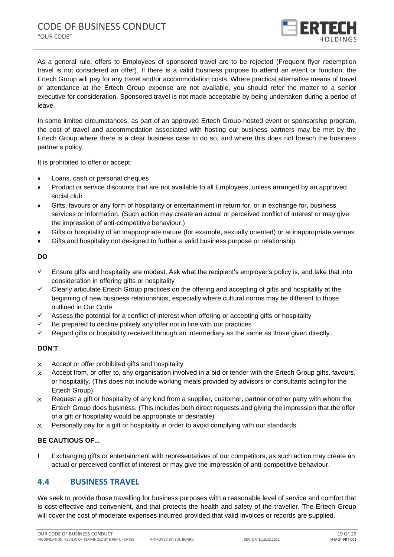

As a general rule, offers to Employees of sponsored travel are to be rejected (Frequent flyer redemption travel is not considered an offer). If there is a valid business purpose to attend an event or function, the Ertech Group will pay for any travel and/or accommodation costs. Where practical alternative means of travel or attendance at the Ertech Group expense are not available, you should refer the matter to a senior executive for consideration. Sponsored travel is not made acceptable by being undertaken during a period of leave.

In some limited circumstances, as part of an approved Ertech Group-hosted event or sponsorship program, the cost of travel and accommodation associated with hosting our business partners may be met by the Ertech Group where there is a clear business case to do so, and where this does not breach the business partner's policy.

It is prohibited to offer or accept:

- Loans, cash or personal cheques
- Product or service discounts that are not available to all Employees, unless arranged by an approved social club
- Gifts, favours or any form of hospitality or entertainment in return for, or in exchange for, business services or information. (Such action may create an actual or perceived conflict of interest or may give the impression of anti-competitive behaviour.)
- Gifts or hospitality of an inappropriate nature (for example, sexually oriented) or at inappropriate venues
- Gifts and hospitality not designed to further a valid business purpose or relationship.

#### **DO**

- $\checkmark$  Ensure gifts and hospitality are modest. Ask what the recipient's employer's policy is, and take that into consideration in offering gifts or hospitality
- $\checkmark$  Clearly articulate Ertech Group practices on the offering and accepting of gifts and hospitality at the beginning of new business relationships, especially where cultural norms may be different to those outlined in Our Code
- $\checkmark$  Assess the potential for a conflict of interest when offering or accepting gifts or hospitality
- $\checkmark$  Be prepared to decline politely any offer not in line with our practices
- Regard gifts or hospitality received through an intermediary as the same as those given directly.

### **DON'T**

- X Accept or offer prohibited gifts and hospitality
- $\times$  Accept from, or offer to, any organisation involved in a bid or tender with the Ertech Group gifts, favours, or hospitality. (This does not include working meals provided by advisors or consultants acting for the Ertech Group)
- $\times$  Request a gift or hospitality of any kind from a supplier, customer, partner or other party with whom the Ertech Group does business. (This includes both direct requests and giving the impression that the offer of a gift or hospitality would be appropriate or desirable)
- $\times$  Personally pay for a gift or hospitality in order to avoid complying with our standards.

### **BE CAUTIOUS OF...**

**!** Exchanging gifts or entertainment with representatives of our competitors, as such action may create an actual or perceived conflict of interest or may give the impression of anti-competitive behaviour.

### <span id="page-18-0"></span>**4.4 BUSINESS TRAVEL**

We seek to provide those travelling for business purposes with a reasonable level of service and comfort that is cost-effective and convenient, and that protects the health and safety of the traveller. The Ertech Group will cover the cost of moderate expenses incurred provided that valid invoices or records are supplied.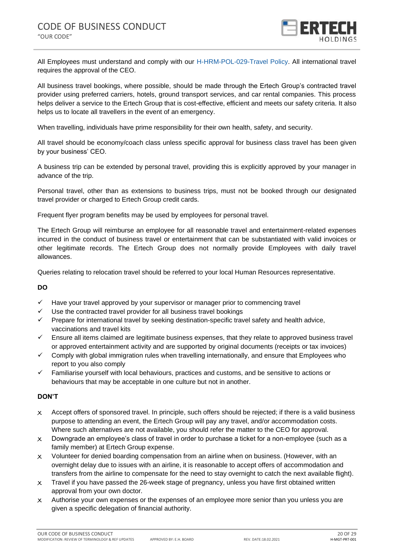

All Employees must understand and comply with our H-HRM-POL-029-Travel Policy. All international travel requires the approval of the CEO.

All business travel bookings, where possible, should be made through the Ertech Group's contracted travel provider using preferred carriers, hotels, ground transport services, and car rental companies. This process helps deliver a service to the Ertech Group that is cost-effective, efficient and meets our safety criteria. It also helps us to locate all travellers in the event of an emergency.

When travelling, individuals have prime responsibility for their own health, safety, and security.

All travel should be economy/coach class unless specific approval for business class travel has been given by your business' CEO.

A business trip can be extended by personal travel, providing this is explicitly approved by your manager in advance of the trip.

Personal travel, other than as extensions to business trips, must not be booked through our designated travel provider or charged to Ertech Group credit cards.

Frequent flyer program benefits may be used by employees for personal travel.

The Ertech Group will reimburse an employee for all reasonable travel and entertainment-related expenses incurred in the conduct of business travel or entertainment that can be substantiated with valid invoices or other legitimate records. The Ertech Group does not normally provide Employees with daily travel allowances.

Queries relating to relocation travel should be referred to your local Human Resources representative.

### **DO**

- $\checkmark$  Have your travel approved by your supervisor or manager prior to commencing travel
- Use the contracted travel provider for all business travel bookings
- ✓ Prepare for international travel by seeking destination-specific travel safety and health advice, vaccinations and travel kits
- ✓ Ensure all items claimed are legitimate business expenses, that they relate to approved business travel or approved entertainment activity and are supported by original documents (receipts or tax invoices)
- $\checkmark$  Comply with global immigration rules when travelling internationally, and ensure that Employees who report to you also comply
- $\checkmark$  Familiarise yourself with local behaviours, practices and customs, and be sensitive to actions or behaviours that may be acceptable in one culture but not in another.

- $\times$  Accept offers of sponsored travel. In principle, such offers should be rejected; if there is a valid business purpose to attending an event, the Ertech Group will pay any travel, and/or accommodation costs. Where such alternatives are not available, you should refer the matter to the CEO for approval.
- $\times$  Downgrade an employee's class of travel in order to purchase a ticket for a non-employee (such as a family member) at Ertech Group expense.
- $\times$  Volunteer for denied boarding compensation from an airline when on business. (However, with an overnight delay due to issues with an airline, it is reasonable to accept offers of accommodation and transfers from the airline to compensate for the need to stay overnight to catch the next available flight).
- $\times$  Travel if you have passed the 26-week stage of pregnancy, unless you have first obtained written approval from your own doctor.
- $\times$  Authorise your own expenses or the expenses of an employee more senior than you unless you are given a specific delegation of financial authority.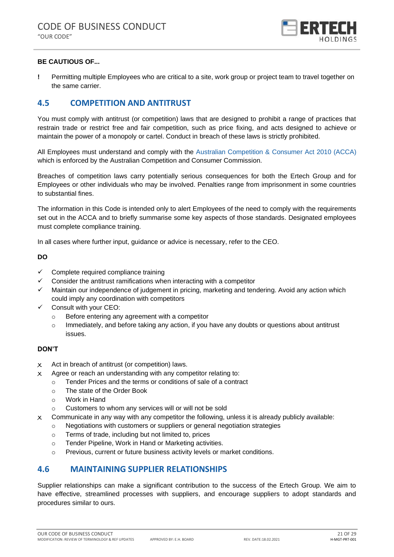

### **BE CAUTIOUS OF...**

**!** Permitting multiple Employees who are critical to a site, work group or project team to travel together on the same carrier.

# <span id="page-20-0"></span>**4.5 COMPETITION AND ANTITRUST**

You must comply with antitrust (or competition) laws that are designed to prohibit a range of practices that restrain trade or restrict free and fair competition, such as price fixing, and acts designed to achieve or maintain the power of a monopoly or cartel. Conduct in breach of these laws is strictly prohibited.

All Employees must understand and comply with the Australian Competition & Consumer Act 2010 (ACCA) which is enforced by the Australian Competition and Consumer Commission.

Breaches of competition laws carry potentially serious consequences for both the Ertech Group and for Employees or other individuals who may be involved. Penalties range from imprisonment in some countries to substantial fines.

The information in this Code is intended only to alert Employees of the need to comply with the requirements set out in the ACCA and to briefly summarise some key aspects of those standards. Designated employees must complete compliance training.

In all cases where further input, guidance or advice is necessary, refer to the CEO.

#### **DO**

- ✓ Complete required compliance training
- Consider the antitrust ramifications when interacting with a competitor
- Maintain our independence of judgement in pricing, marketing and tendering. Avoid any action which could imply any coordination with competitors
- $\checkmark$  Consult with your CEO:
	- o Before entering any agreement with a competitor
	- $\circ$  Immediately, and before taking any action, if you have any doubts or questions about antitrust issues.

### **DON'T**

- $x$  Act in breach of antitrust (or competition) laws.
- $x$  Agree or reach an understanding with any competitor relating to:
	- o Tender Prices and the terms or conditions of sale of a contract
	- o The state of the Order Book
	- o Work in Hand
	- o Customers to whom any services will or will not be sold
- $\times$  Communicate in any way with any competitor the following, unless it is already publicly available:
	- o Negotiations with customers or suppliers or general negotiation strategies
		- o Terms of trade, including but not limited to, prices
		- o Tender Pipeline, Work in Hand or Marketing activities.
		- o Previous, current or future business activity levels or market conditions.

### <span id="page-20-1"></span>**4.6 MAINTAINING SUPPLIER RELATIONSHIPS**

Supplier relationships can make a significant contribution to the success of the Ertech Group. We aim to have effective, streamlined processes with suppliers, and encourage suppliers to adopt standards and procedures similar to ours.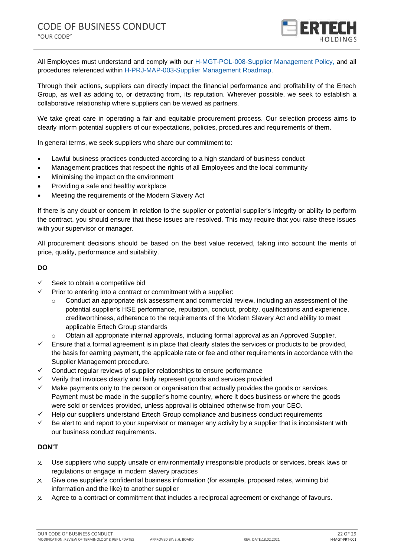

All Employees must understand and comply with our H-MGT-POL-008-Supplier Management Policy, and all procedures referenced within H-PRJ-MAP-003-Supplier Management Roadmap.

Through their actions, suppliers can directly impact the financial performance and profitability of the Ertech Group, as well as adding to, or detracting from, its reputation. Wherever possible, we seek to establish a collaborative relationship where suppliers can be viewed as partners.

We take great care in operating a fair and equitable procurement process. Our selection process aims to clearly inform potential suppliers of our expectations, policies, procedures and requirements of them.

In general terms, we seek suppliers who share our commitment to:

- Lawful business practices conducted according to a high standard of business conduct
- Management practices that respect the rights of all Employees and the local community
- Minimising the impact on the environment
- Providing a safe and healthy workplace
- Meeting the requirements of the Modern Slavery Act

If there is any doubt or concern in relation to the supplier or potential supplier's integrity or ability to perform the contract, you should ensure that these issues are resolved. This may require that you raise these issues with your supervisor or manager.

All procurement decisions should be based on the best value received, taking into account the merits of price, quality, performance and suitability.

#### **DO**

- $\checkmark$  Seek to obtain a competitive bid
- $\checkmark$  Prior to entering into a contract or commitment with a supplier:
	- $\circ$  Conduct an appropriate risk assessment and commercial review, including an assessment of the potential supplier's HSE performance, reputation, conduct, probity, qualifications and experience, creditworthiness, adherence to the requirements of the Modern Slavery Act and ability to meet applicable Ertech Group standards
	- o Obtain all appropriate internal approvals, including formal approval as an Approved Supplier.
- $\checkmark$  Ensure that a formal agreement is in place that clearly states the services or products to be provided, the basis for earning payment, the applicable rate or fee and other requirements in accordance with the Supplier Management procedure.
- ✓ Conduct regular reviews of supplier relationships to ensure performance
- ✓ Verify that invoices clearly and fairly represent goods and services provided
- $\checkmark$  Make payments only to the person or organisation that actually provides the goods or services. Payment must be made in the supplier's home country, where it does business or where the goods were sold or services provided, unless approval is obtained otherwise from your CEO.
- ✓ Help our suppliers understand Ertech Group compliance and business conduct requirements
- Be alert to and report to your supervisor or manager any activity by a supplier that is inconsistent with our business conduct requirements.

- X Use suppliers who supply unsafe or environmentally irresponsible products or services, break laws or regulations or engage in modern slavery practices
- $\times$  Give one supplier's confidential business information (for example, proposed rates, winning bid information and the like) to another supplier
- X Agree to a contract or commitment that includes a reciprocal agreement or exchange of favours.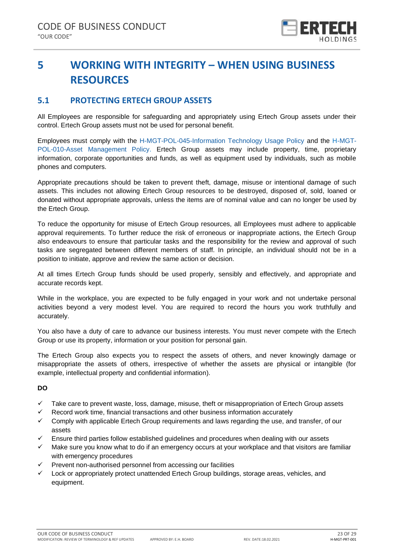

# <span id="page-22-0"></span>**5 WORKING WITH INTEGRITY – WHEN USING BUSINESS RESOURCES**

# <span id="page-22-1"></span>**5.1 PROTECTING ERTECH GROUP ASSETS**

All Employees are responsible for safeguarding and appropriately using Ertech Group assets under their control. Ertech Group assets must not be used for personal benefit.

Employees must comply with the H-MGT-POL-045-Information Technology Usage Policy and the H-MGT-POL-010-Asset Management Policy. Ertech Group assets may include property, time, proprietary information, corporate opportunities and funds, as well as equipment used by individuals, such as mobile phones and computers.

Appropriate precautions should be taken to prevent theft, damage, misuse or intentional damage of such assets. This includes not allowing Ertech Group resources to be destroyed, disposed of, sold, loaned or donated without appropriate approvals, unless the items are of nominal value and can no longer be used by the Ertech Group.

To reduce the opportunity for misuse of Ertech Group resources, all Employees must adhere to applicable approval requirements. To further reduce the risk of erroneous or inappropriate actions, the Ertech Group also endeavours to ensure that particular tasks and the responsibility for the review and approval of such tasks are segregated between different members of staff. In principle, an individual should not be in a position to initiate, approve and review the same action or decision.

At all times Ertech Group funds should be used properly, sensibly and effectively, and appropriate and accurate records kept.

While in the workplace, you are expected to be fully engaged in your work and not undertake personal activities beyond a very modest level. You are required to record the hours you work truthfully and accurately.

You also have a duty of care to advance our business interests. You must never compete with the Ertech Group or use its property, information or your position for personal gain.

The Ertech Group also expects you to respect the assets of others, and never knowingly damage or misappropriate the assets of others, irrespective of whether the assets are physical or intangible (for example, intellectual property and confidential information).

### **DO**

- ✓ Take care to prevent waste, loss, damage, misuse, theft or misappropriation of Ertech Group assets
- $\checkmark$  Record work time, financial transactions and other business information accurately
- $\checkmark$  Comply with applicable Ertech Group requirements and laws regarding the use, and transfer, of our assets
- ✓ Ensure third parties follow established guidelines and procedures when dealing with our assets
- $\checkmark$  Make sure you know what to do if an emergency occurs at your workplace and that visitors are familiar with emergency procedures
- ✓ Prevent non-authorised personnel from accessing our facilities
- Lock or appropriately protect unattended Ertech Group buildings, storage areas, vehicles, and equipment.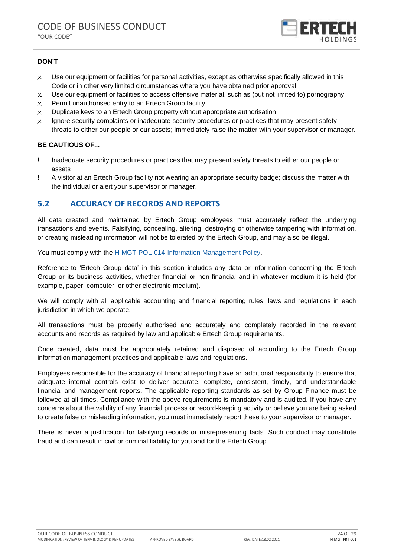

### **DON'T**

- X Use our equipment or facilities for personal activities, except as otherwise specifically allowed in this Code or in other very limited circumstances where you have obtained prior approval
- $\times$  Use our equipment or facilities to access offensive material, such as (but not limited to) pornography
- $x$  Permit unauthorised entry to an Ertech Group facility
- $\times$  Duplicate keys to an Ertech Group property without appropriate authorisation
- X Ignore security complaints or inadequate security procedures or practices that may present safety threats to either our people or our assets; immediately raise the matter with your supervisor or manager.

### **BE CAUTIOUS OF...**

- **!** Inadequate security procedures or practices that may present safety threats to either our people or assets
- **!** A visitor at an Ertech Group facility not wearing an appropriate security badge; discuss the matter with the individual or alert your supervisor or manager.

# <span id="page-23-0"></span>**5.2 ACCURACY OF RECORDS AND REPORTS**

All data created and maintained by Ertech Group employees must accurately reflect the underlying transactions and events. Falsifying, concealing, altering, destroying or otherwise tampering with information, or creating misleading information will not be tolerated by the Ertech Group, and may also be illegal.

You must comply with the H-MGT-POL-014-Information Management Policy.

Reference to 'Ertech Group data' in this section includes any data or information concerning the Ertech Group or its business activities, whether financial or non-financial and in whatever medium it is held (for example, paper, computer, or other electronic medium).

We will comply with all applicable accounting and financial reporting rules, laws and regulations in each jurisdiction in which we operate.

All transactions must be properly authorised and accurately and completely recorded in the relevant accounts and records as required by law and applicable Ertech Group requirements.

Once created, data must be appropriately retained and disposed of according to the Ertech Group information management practices and applicable laws and regulations.

Employees responsible for the accuracy of financial reporting have an additional responsibility to ensure that adequate internal controls exist to deliver accurate, complete, consistent, timely, and understandable financial and management reports. The applicable reporting standards as set by Group Finance must be followed at all times. Compliance with the above requirements is mandatory and is audited. If you have any concerns about the validity of any financial process or record-keeping activity or believe you are being asked to create false or misleading information, you must immediately report these to your supervisor or manager.

There is never a justification for falsifying records or misrepresenting facts. Such conduct may constitute fraud and can result in civil or criminal liability for you and for the Ertech Group.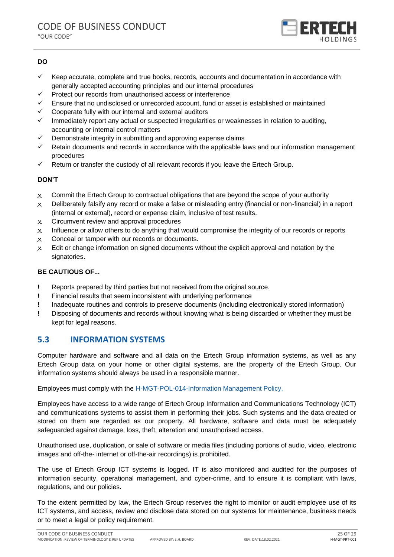

### **DO**

- ✓ Keep accurate, complete and true books, records, accounts and documentation in accordance with generally accepted accounting principles and our internal procedures
- ✓ Protect our records from unauthorised access or interference
- Ensure that no undisclosed or unrecorded account, fund or asset is established or maintained
- Cooperate fully with our internal and external auditors
- $\checkmark$  Immediately report any actual or suspected irregularities or weaknesses in relation to auditing, accounting or internal control matters
- Demonstrate integrity in submitting and approving expense claims
- Retain documents and records in accordance with the applicable laws and our information management procedures
- $\checkmark$  Return or transfer the custody of all relevant records if you leave the Ertech Group.

### **DON'T**

- $\times$  Commit the Ertech Group to contractual obligations that are beyond the scope of your authority
- $\times$  Deliberately falsify any record or make a false or misleading entry (financial or non-financial) in a report (internal or external), record or expense claim, inclusive of test results.
- X Circumvent review and approval procedures
- $\times$  Influence or allow others to do anything that would compromise the integrity of our records or reports
- $\times$  Conceal or tamper with our records or documents.
- $\times$  Edit or change information on signed documents without the explicit approval and notation by the signatories.

### **BE CAUTIOUS OF...**

- **!** Reports prepared by third parties but not received from the original source.
- **!** Financial results that seem inconsistent with underlying performance
- **!** Inadequate routines and controls to preserve documents (including electronically stored information)
- **!** Disposing of documents and records without knowing what is being discarded or whether they must be kept for legal reasons.

### <span id="page-24-0"></span>**5.3 INFORMATION SYSTEMS**

Computer hardware and software and all data on the Ertech Group information systems, as well as any Ertech Group data on your home or other digital systems, are the property of the Ertech Group. Our information systems should always be used in a responsible manner.

Employees must comply with the H-MGT-POL-014-Information Management Policy.

Employees have access to a wide range of Ertech Group Information and Communications Technology (ICT) and communications systems to assist them in performing their jobs. Such systems and the data created or stored on them are regarded as our property. All hardware, software and data must be adequately safeguarded against damage, loss, theft, alteration and unauthorised access.

Unauthorised use, duplication, or sale of software or media files (including portions of audio, video, electronic images and off-the- internet or off-the-air recordings) is prohibited.

The use of Ertech Group ICT systems is logged. IT is also monitored and audited for the purposes of information security, operational management, and cyber-crime, and to ensure it is compliant with laws, regulations, and our policies.

To the extent permitted by law, the Ertech Group reserves the right to monitor or audit employee use of its ICT systems, and access, review and disclose data stored on our systems for maintenance, business needs or to meet a legal or policy requirement.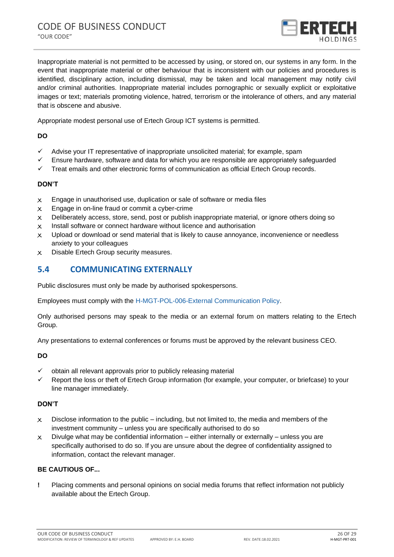

Inappropriate material is not permitted to be accessed by using, or stored on, our systems in any form. In the event that inappropriate material or other behaviour that is inconsistent with our policies and procedures is identified, disciplinary action, including dismissal, may be taken and local management may notify civil and/or criminal authorities. Inappropriate material includes pornographic or sexually explicit or exploitative images or text; materials promoting violence, hatred, terrorism or the intolerance of others, and any material that is obscene and abusive.

Appropriate modest personal use of Ertech Group ICT systems is permitted.

### **DO**

- ✓ Advise your IT representative of inappropriate unsolicited material; for example, spam
- $\checkmark$  Ensure hardware, software and data for which you are responsible are appropriately safeguarded
- $\checkmark$  Treat emails and other electronic forms of communication as official Ertech Group records.

### **DON'T**

- X Engage in unauthorised use, duplication or sale of software or media files
- X Engage in on-line fraud or commit a cyber-crime
- $\times$  Deliberately access, store, send, post or publish inappropriate material, or ignore others doing so
- X Install software or connect hardware without licence and authorisation
- $x$  Upload or download or send material that is likely to cause annoyance, inconvenience or needless anxiety to your colleagues
- X Disable Ertech Group security measures.

# <span id="page-25-0"></span>**5.4 COMMUNICATING EXTERNALLY**

Public disclosures must only be made by authorised spokespersons.

Employees must comply with the H-MGT-POL-006-External Communication Policy.

Only authorised persons may speak to the media or an external forum on matters relating to the Ertech Group.

Any presentations to external conferences or forums must be approved by the relevant business CEO.

### **DO**

- $\checkmark$  obtain all relevant approvals prior to publicly releasing material
- ✓ Report the loss or theft of Ertech Group information (for example, your computer, or briefcase) to your line manager immediately.

### **DON'T**

- $\times$  Disclose information to the public including, but not limited to, the media and members of the investment community – unless you are specifically authorised to do so
- $\times$  Divulge what may be confidential information either internally or externally unless you are specifically authorised to do so. If you are unsure about the degree of confidentiality assigned to information, contact the relevant manager.

### **BE CAUTIOUS OF...**

**!** Placing comments and personal opinions on social media forums that reflect information not publicly available about the Ertech Group.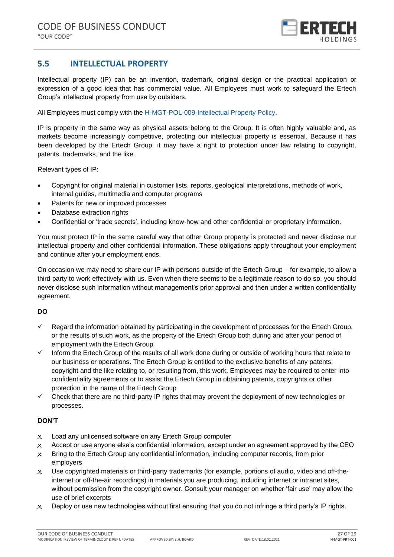

# <span id="page-26-0"></span>**5.5 INTELLECTUAL PROPERTY**

Intellectual property (IP) can be an invention, trademark, original design or the practical application or expression of a good idea that has commercial value. All Employees must work to safeguard the Ertech Group's intellectual property from use by outsiders.

All Employees must comply with the H-MGT-POL-009-Intellectual Property Policy.

IP is property in the same way as physical assets belong to the Group. It is often highly valuable and, as markets become increasingly competitive, protecting our intellectual property is essential. Because it has been developed by the Ertech Group, it may have a right to protection under law relating to copyright, patents, trademarks, and the like.

Relevant types of IP:

- Copyright for original material in customer lists, reports, geological interpretations, methods of work, internal guides, multimedia and computer programs
- Patents for new or improved processes
- Database extraction rights
- Confidential or 'trade secrets', including know-how and other confidential or proprietary information.

You must protect IP in the same careful way that other Group property is protected and never disclose our intellectual property and other confidential information. These obligations apply throughout your employment and continue after your employment ends.

On occasion we may need to share our IP with persons outside of the Ertech Group – for example, to allow a third party to work effectively with us. Even when there seems to be a legitimate reason to do so, you should never disclose such information without management's prior approval and then under a written confidentiality agreement.

### **DO**

- $\checkmark$  Regard the information obtained by participating in the development of processes for the Ertech Group, or the results of such work, as the property of the Ertech Group both during and after your period of employment with the Ertech Group
- ✓ Inform the Ertech Group of the results of all work done during or outside of working hours that relate to our business or operations. The Ertech Group is entitled to the exclusive benefits of any patents, copyright and the like relating to, or resulting from, this work. Employees may be required to enter into confidentiality agreements or to assist the Ertech Group in obtaining patents, copyrights or other protection in the name of the Ertech Group
- $\checkmark$  Check that there are no third-party IP rights that may prevent the deployment of new technologies or processes.

- X Load any unlicensed software on any Ertech Group computer
- $\times$  Accept or use anyone else's confidential information, except under an agreement approved by the CEO
- $\times$  Bring to the Ertech Group any confidential information, including computer records, from prior employers
- X Use copyrighted materials or third-party trademarks (for example, portions of audio, video and off-theinternet or off-the-air recordings) in materials you are producing, including internet or intranet sites, without permission from the copyright owner. Consult your manager on whether 'fair use' may allow the use of brief excerpts
- $x$  Deploy or use new technologies without first ensuring that you do not infringe a third party's IP rights.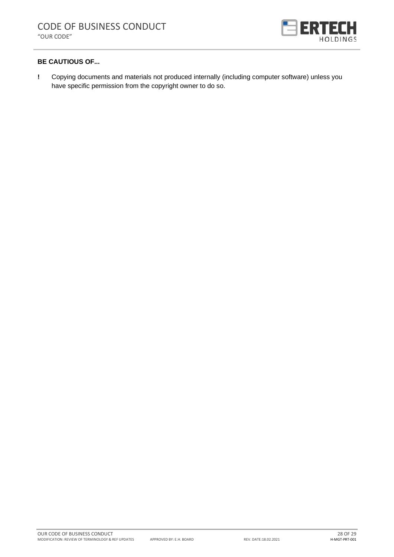

### **BE CAUTIOUS OF...**

**!** Copying documents and materials not produced internally (including computer software) unless you have specific permission from the copyright owner to do so.